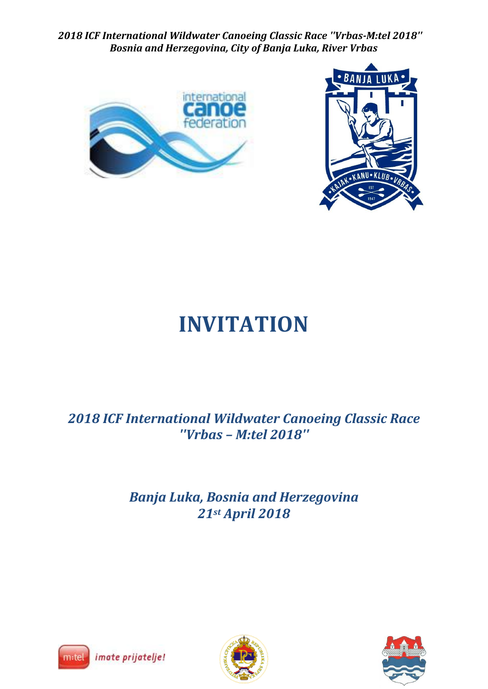



# **INVITATION**

*2018 ICF International Wildwater Canoeing Classic Race ''Vrbas – M:tel 2018''*

> *Banja Luka, Bosnia and Herzegovina 21st April 2018*





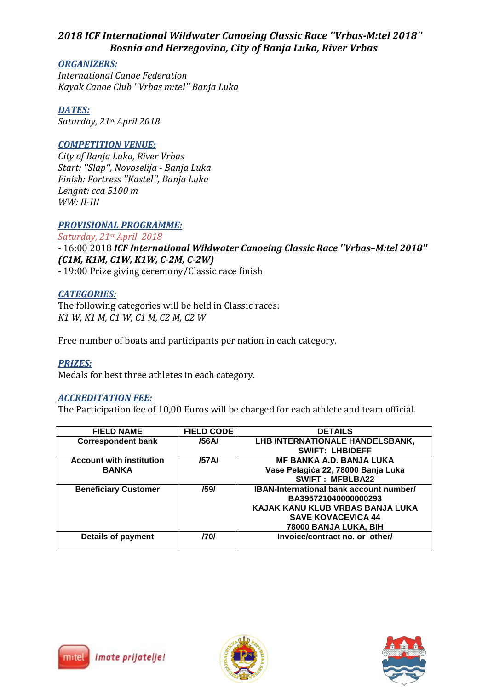#### *ORGANIZERS:*

*International Canoe Federation Kayak Canoe Club ''Vrbas m:tel'' Banja Luka*

*DATES: Saturday, 21st April 2018*

## *COMPETITION VENUE:*

*City of Banja Luka, River Vrbas Start: ''Slap'', Novoselija - Banja Luka Finish: Fortress ''Kastel'', Banja Luka Lenght: cca 5100 m WW: II-III*

### *PROVISIONAL PROGRAMME:*

*Saturday, 21st April 2018*

- 16:00 2018 *ICF International Wildwater Canoeing Classic Race ''Vrbas–M:tel 2018'' (C1M, K1M, C1W, K1W, C-2M, C-2W)*

- 19:00 Prize giving ceremony/Classic race finish

#### *CATEGORIES:*

The following categories will be held in Classic races: *K1 W, K1 M, C1 W, C1 M, C2 M, C2 W*

Free number of boats and participants per nation in each category.

*PRIZES:* Medals for best three athletes in each category.

#### *ACCREDITATION FEE:*

The Participation fee of 10,00 Euros will be charged for each athlete and team official.

| <b>FIELD NAME</b>               | <b>FIELD CODE</b> | <b>DETAILS</b>                                 |
|---------------------------------|-------------------|------------------------------------------------|
| <b>Correspondent bank</b>       | /56A/             | LHB INTERNATIONALE HANDELSBANK,                |
|                                 |                   | <b>SWIFT: LHBIDEFF</b>                         |
| <b>Account with institution</b> | /57A/             | <b>MF BANKA A.D. BANJA LUKA</b>                |
| <b>BANKA</b>                    |                   | Vase Pelagića 22, 78000 Banja Luka             |
|                                 |                   | <b>SWIFT: MFBLBA22</b>                         |
| <b>Beneficiary Customer</b>     | /59/              | <b>IBAN-International bank account number/</b> |
|                                 |                   | BA395721040000000293                           |
|                                 |                   | KAJAK KANU KLUB VRBAS BANJA LUKA               |
|                                 |                   | <b>SAVE KOVACEVICA 44</b>                      |
|                                 |                   | 78000 BANJA LUKA, BIH                          |
| <b>Details of payment</b>       | /70/              | Invoice/contract no. or other/                 |
|                                 |                   |                                                |





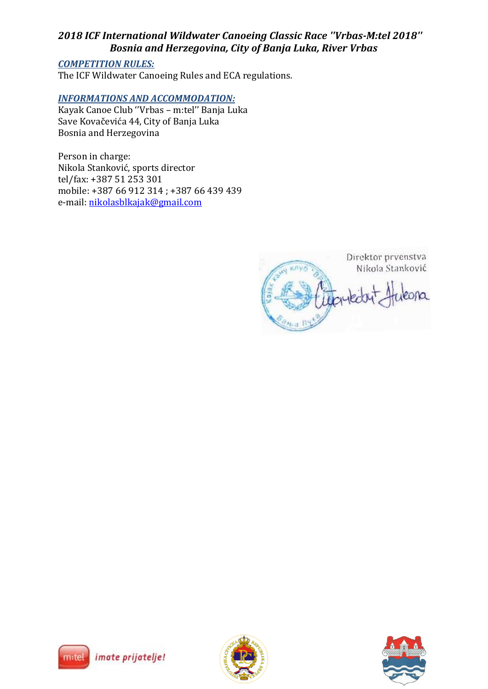## *COMPETITION RULES:*

The ICF Wildwater Canoeing Rules and ECA regulations.

#### *INFORMATIONS AND ACCOMMODATION:*

Kayak Canoe Club ''Vrbas – m:tel'' Banja Luka Save Kovačevića 44, City of Banja Luka Bosnia and Herzegovina

Person in charge: Nikola Stanković, sports director tel/fax: +387 51 253 301 mobile: +387 66 912 314 ; +387 66 439 439 e-mail: [nikolasblkajak@gmail.com](mailto:nikolasblkajak@gmail.com)

Direktor prvenstva Nikola Stanković